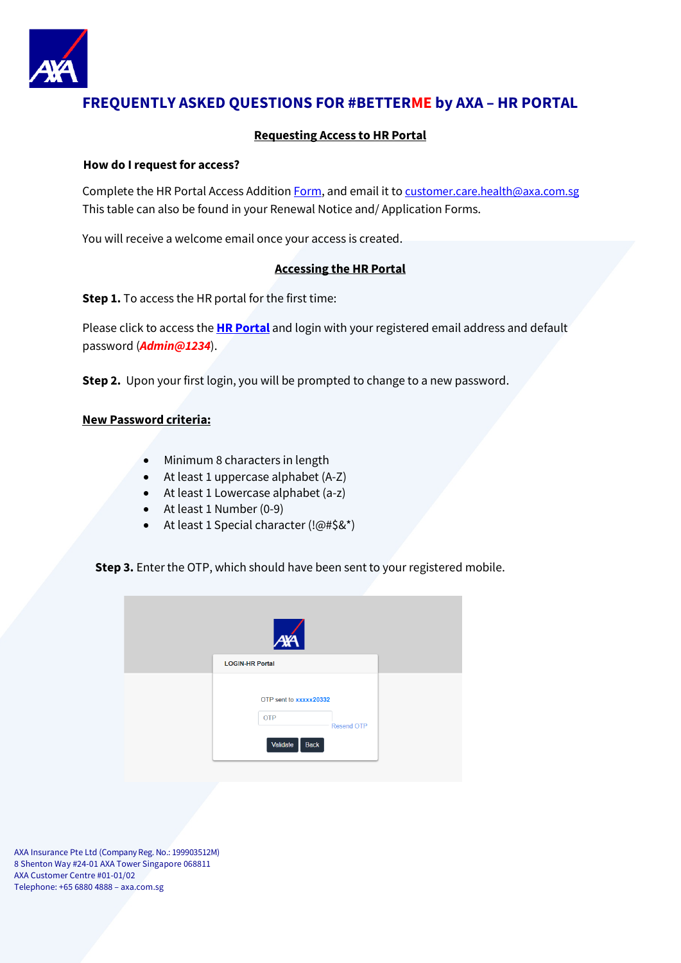

# **FREQUENTLY ASKED QUESTIONS FOR #BETTERME by AXA – HR PORTAL**

#### **Requesting Access to HR Portal**

#### **How do I request for access?**

Complete the HR Portal Access Addition [Form,](https://www.axa.com.sg/pdf/Better-Me-HR-Portal-Access-Addition-Form.pdf) and email it t[o customer.care.health@axa.com.sg](mailto:customer.care.health@axa.com.sg) This table can also be found in your Renewal Notice and/ Application Forms.

You will receive a welcome email once your access is created.

#### **Accessing the HR Portal**

**Step 1.** To access the HR portal for the first time:

Please click to access the **[HR Portal](https://betterme.axa.com.sg/healthhrportal/)** and login with your registered email address and default password (*Admin@1234*).

**Step 2.** Upon your first login, you will be prompted to change to a new password.

#### **New Password criteria:**

- Minimum 8 characters in length
- At least 1 uppercase alphabet (A-Z)
- At least 1 Lowercase alphabet (a-z)
- At least 1 Number (0-9)
- At least 1 Special character (!@#\$&\*)

**Step 3.** Enter the OTP, which should have been sent to your registered mobile.

| <b>AYA</b>                                                                    |  |
|-------------------------------------------------------------------------------|--|
| <b>LOGIN-HR Portal</b>                                                        |  |
| OTP sent to xxxxx20332<br><b>OTP</b><br><b>Resend OTP</b><br>Validate<br>Back |  |

AXA Insurance Pte Ltd (Company Reg. No.: 199903512M) 8 Shenton Way #24-01 AXA Tower Singapore 068811 AXA Customer Centre #01-01/02 Telephone: +65 6880 4888 – axa.com.sg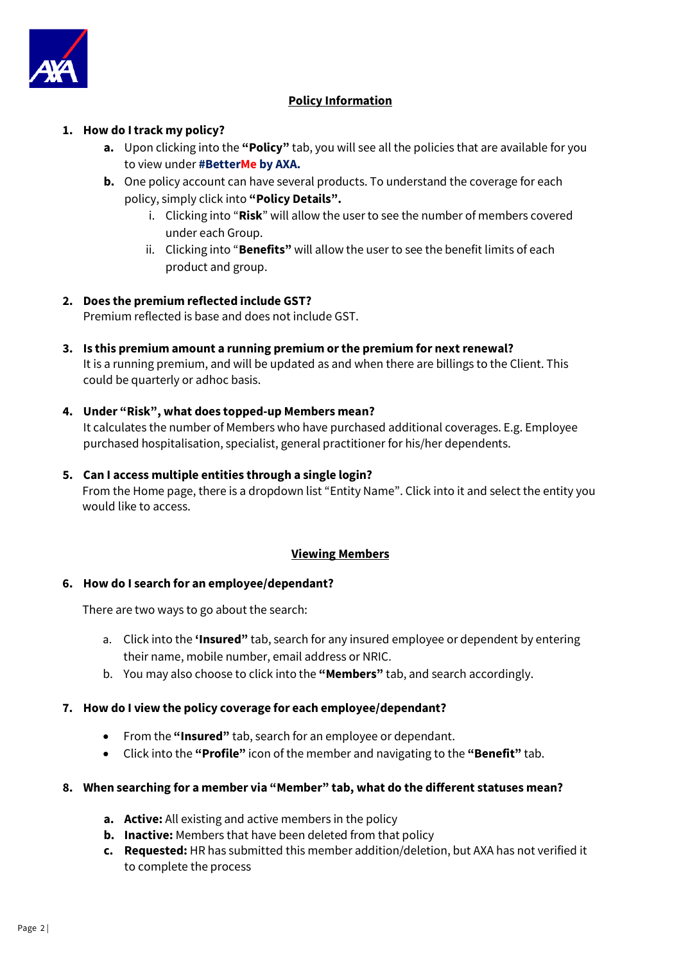

### **Policy Information**

#### **1. How do I track my policy?**

- **a.** Upon clicking into the **"Policy"** tab, you will see all the policies that are available for you to view under **#BetterMe by AXA.**
- **b.** One policy account can have several products. To understand the coverage for each policy, simply click into **"Policy Details".**
	- i. Clicking into "**Risk**" will allow the userto see the number of members covered under each Group.
	- ii. Clicking into "**Benefits"** will allow the user to see the benefit limits of each product and group.

### **2. Does the premium reflected include GST?**

Premium reflected is base and does not include GST.

- **3. Is this premium amount a running premium or the premium for next renewal?** It is a running premium, and will be updated as and when there are billings to the Client. This could be quarterly or adhoc basis.
- **4. Under "Risk", what does topped-up Members mean?**

It calculates the number of Members who have purchased additional coverages. E.g. Employee purchased hospitalisation, specialist, general practitioner for his/her dependents.

**5. Can I access multiple entities through a single login?** From the Home page, there is a dropdown list "Entity Name". Click into it and select the entity you would like to access.

#### **Viewing Members**

#### **6. How do I search for an employee/dependant?**

There are two ways to go about the search:

- a. Click into the **'Insured"** tab, search for any insured employee or dependent by entering their name, mobile number, email address or NRIC.
- b. You may also choose to click into the **"Members"** tab, and search accordingly.

#### **7. How do I view the policy coverage for each employee/dependant?**

- From the **"Insured"** tab, search for an employee or dependant.
- Click into the **"Profile"** icon of the member and navigating to the **"Benefit"** tab.

#### **8. When searching for a member via "Member" tab, what do the different statuses mean?**

- **a. Active:** All existing and active members in the policy
- **b. Inactive:** Members that have been deleted from that policy
- **c. Requested:** HR has submitted this member addition/deletion, but AXA has not verified it to complete the process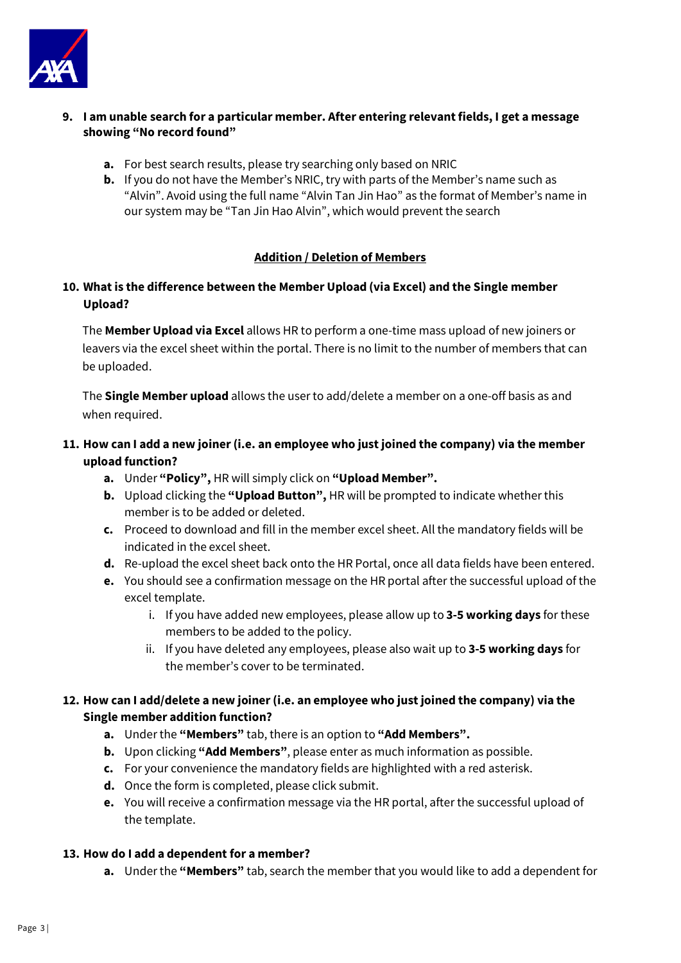

- **9. I am unable search for a particular member. After entering relevant fields, I get a message showing "No record found"**
	- **a.** For best search results, please try searching only based on NRIC
	- **b.** If you do not have the Member's NRIC, try with parts of the Member's name such as "Alvin". Avoid using the full name "Alvin Tan Jin Hao" as the format of Member's name in our system may be "Tan Jin Hao Alvin", which would prevent the search

#### **Addition / Deletion of Members**

# **10. What is the difference between the Member Upload (via Excel) and the Single member Upload?**

The **Member Upload via Excel** allows HR to perform a one-time mass upload of new joiners or leavers via the excel sheet within the portal. There is no limit to the number of members that can be uploaded.

The **Single Member upload** allows the user to add/delete a member on a one-off basis as and when required.

# **11. How can I add a new joiner (i.e. an employee who just joined the company) via the member upload function?**

- **a.** Under **"Policy",** HR will simply click on **"Upload Member".**
- **b.** Upload clicking the **"Upload Button",** HR will be prompted to indicate whether this member is to be added or deleted.
- **c.** Proceed to download and fill in the member excel sheet. All the mandatory fields will be indicated in the excel sheet.
- **d.** Re-upload the excel sheet back onto the HR Portal, once all data fields have been entered.
- **e.** You should see a confirmation message on the HR portal after the successful upload of the excel template.
	- i. If you have added new employees, please allow up to **3-5 working days** for these members to be added to the policy.
	- ii. If you have deleted any employees, please also wait up to **3-5 working days** for the member's cover to be terminated.

### **12. How can I add/delete a new joiner (i.e. an employee who just joined the company) via the Single member addition function?**

- **a.** Under the **"Members"** tab, there is an option to **"Add Members".**
- **b.** Upon clicking **"Add Members"**, please enter as much information as possible.
- **c.** For your convenience the mandatory fields are highlighted with a red asterisk.
- **d.** Once the form is completed, please click submit.
- **e.** You will receive a confirmation message via the HR portal, after the successful upload of the template.

#### **13. How do I add a dependent for a member?**

**a.** Under the **"Members"** tab, search the member that you would like to add a dependent for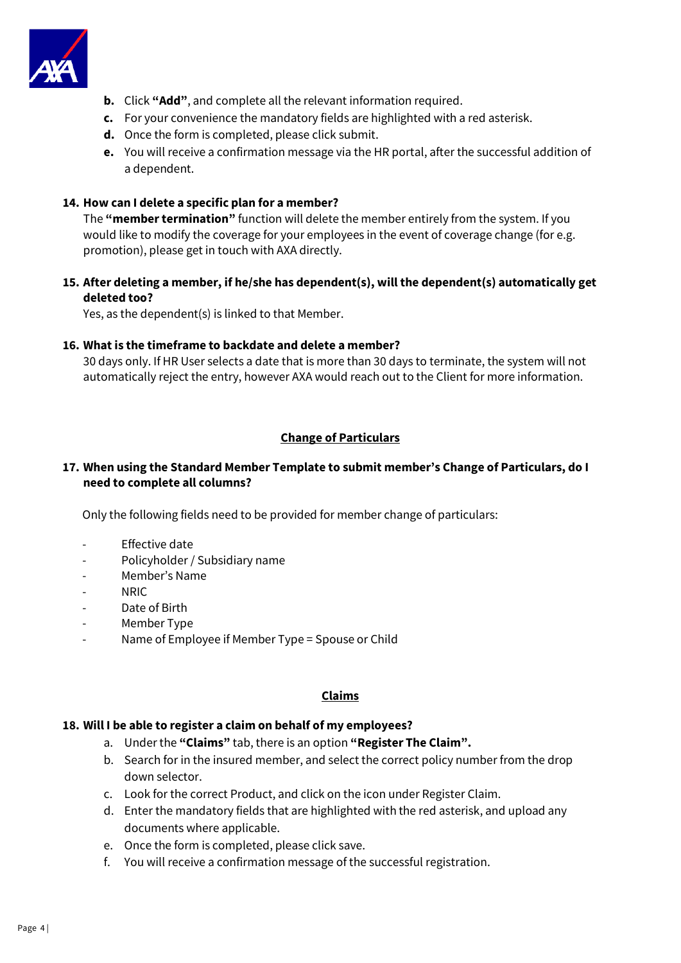

- **b.** Click **"Add"**, and complete all the relevant information required.
- **c.** For your convenience the mandatory fields are highlighted with a red asterisk.
- **d.** Once the form is completed, please click submit.
- **e.** You will receive a confirmation message via the HR portal, after the successful addition of a dependent.

### **14. How can I delete a specific plan for a member?**

The **"member termination"** function will delete the member entirely from the system. If you would like to modify the coverage for your employees in the event of coverage change (for e.g. promotion), please get in touch with AXA directly.

### **15. After deleting a member, if he/she has dependent(s), will the dependent(s) automatically get deleted too?**

Yes, as the dependent(s) is linked to that Member.

#### **16. What is the timeframe to backdate and delete a member?**

30 days only. If HR User selects a date that is more than 30 days to terminate, the system will not automatically reject the entry, however AXA would reach out to the Client for more information.

### **Change of Particulars**

#### **17. When using the Standard Member Template to submit member's Change of Particulars, do I need to complete all columns?**

Only the following fields need to be provided for member change of particulars:

- Effective date
- Policyholder / Subsidiary name
- Member's Name
- NRIC
- Date of Birth
- Member Type
- Name of Employee if Member Type = Spouse or Child

#### **Claims**

#### **18. Will I be able to register a claim on behalf of my employees?**

- a. Under the **"Claims"** tab, there is an option **"Register The Claim".**
- b. Search for in the insured member, and select the correct policy number from the drop down selector.
- c. Look for the correct Product, and click on the icon under Register Claim.
- d. Enter the mandatory fields that are highlighted with the red asterisk, and upload any documents where applicable.
- e. Once the form is completed, please click save.
- f. You will receive a confirmation message of the successful registration.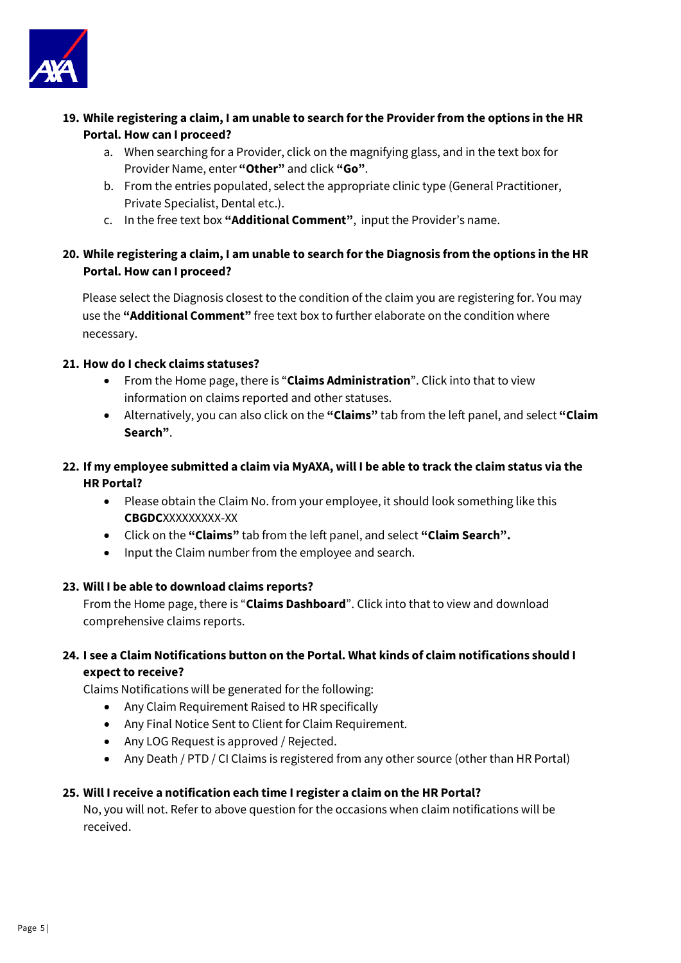

- **19. While registering a claim, I am unable to search for the Provider from the options in the HR Portal. How can I proceed?**
	- a. When searching for a Provider, click on the magnifying glass, and in the text box for Provider Name, enter **"Other"** and click **"Go"**.
	- b. From the entries populated, select the appropriate clinic type (General Practitioner, Private Specialist, Dental etc.).
	- c. In the free text box **"Additional Comment"**, input the Provider's name.

# **20. While registering a claim, I am unable to search for the Diagnosis from the options in the HR Portal. How can I proceed?**

Please select the Diagnosis closest to the condition of the claim you are registering for. You may use the **"Additional Comment"** free text box to further elaborate on the condition where necessary.

### **21. How do I check claims statuses?**

- From the Home page, there is "**Claims Administration**". Click into that to view information on claims reported and other statuses.
- Alternatively, you can also click on the **"Claims"** tab from the left panel, and select **"Claim Search"**.
- **22. If my employee submitted a claim via MyAXA, will I be able to track the claim status via the HR Portal?**
	- Please obtain the Claim No. from your employee, it should look something like this **CBGDC**XXXXXXXXX-XX
	- Click on the **"Claims"** tab from the left panel, and select **"Claim Search".**
	- Input the Claim number from the employee and search.

#### **23. Will I be able to download claims reports?**

From the Home page, there is "**Claims Dashboard**". Click into that to view and download comprehensive claims reports.

# **24. I see a Claim Notifications button on the Portal. What kinds of claim notifications should I expect to receive?**

Claims Notifications will be generated for the following:

- Any Claim Requirement Raised to HR specifically
- Any Final Notice Sent to Client for Claim Requirement.
- Any LOG Request is approved / Rejected.
- Any Death / PTD / CI Claims is registered from any other source (other than HR Portal)

#### **25. Will I receive a notification each time I register a claim on the HR Portal?**

No, you will not. Refer to above question for the occasions when claim notifications will be received.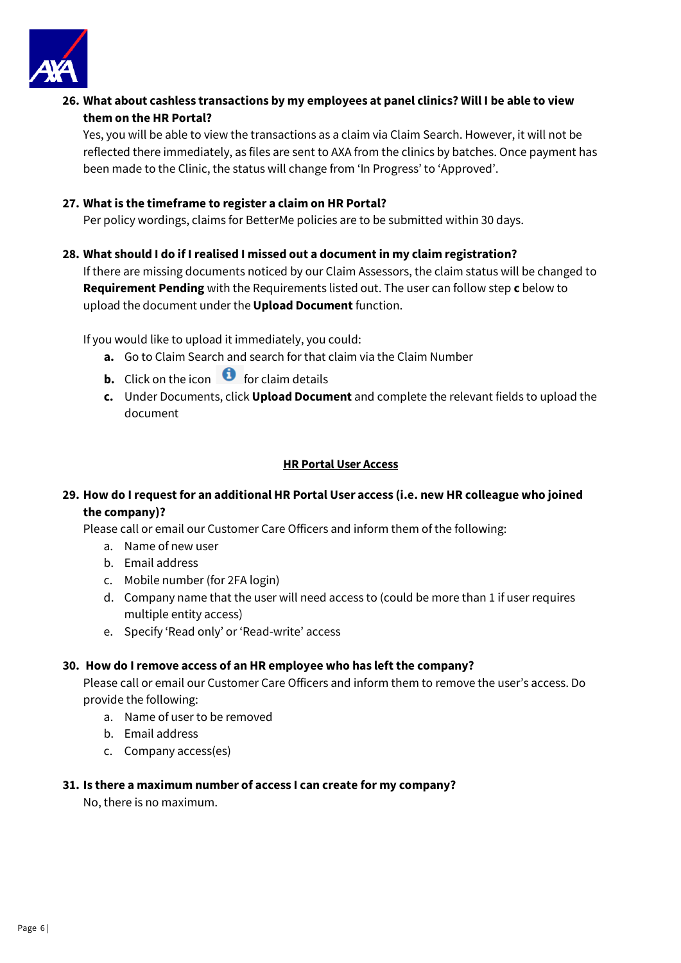

**26. What about cashless transactions by my employees at panel clinics? Will I be able to view them on the HR Portal?**

Yes, you will be able to view the transactions as a claim via Claim Search. However, it will not be reflected there immediately, as files are sent to AXA from the clinics by batches. Once payment has been made to the Clinic, the status will change from 'In Progress' to 'Approved'.

#### **27. What is the timeframe to register a claim on HR Portal?**

Per policy wordings, claims for BetterMe policies are to be submitted within 30 days.

#### **28. What should I do if I realised I missed out a document in my claim registration?**

If there are missing documents noticed by our Claim Assessors, the claim status will be changed to **Requirement Pending** with the Requirements listed out. The user can follow step **c** below to upload the document under the **Upload Document** function.

If you would like to upload it immediately, you could:

- **a.** Go to Claim Search and search for that claim via the Claim Number
- **b.** Click on the icon  $\bullet$  for claim details
- **c.** Under Documents, click **Upload Document** and complete the relevant fields to upload the document

#### **HR Portal User Access**

# **29. How do I request for an additional HR Portal User access (i.e. new HR colleague who joined the company)?**

Please call or email our Customer Care Officers and inform them of the following:

- a. Name of new user
- b. Email address
- c. Mobile number (for 2FA login)
- d. Company name that the user will need access to (could be more than 1 if user requires multiple entity access)
- e. Specify 'Read only' or 'Read-write' access

#### **30. How do I remove access of an HR employee who has left the company?**

Please call or email our Customer Care Officers and inform them to remove the user's access. Do provide the following:

- a. Name of user to be removed
- b. Email address
- c. Company access(es)

#### **31. Is there a maximum number of access I can create for my company?**

No, there is no maximum.